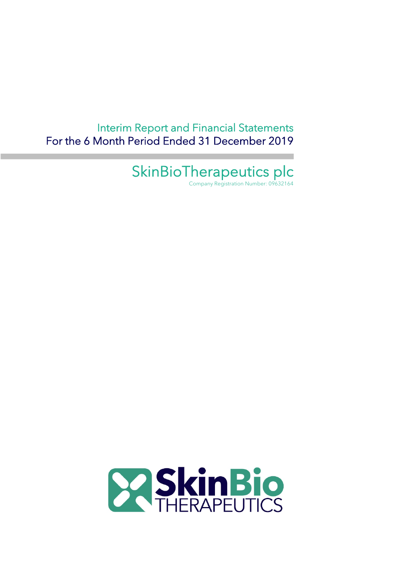Interim Report and Financial Statements For the 6 Month Period Ended 31 December 2019

SkinBioTherapeutics plc

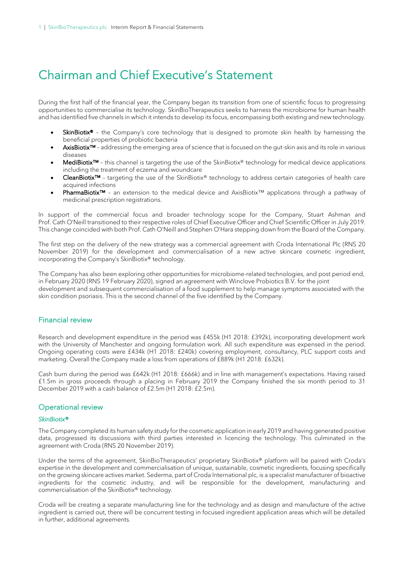# Chairman and Chief Executive's Statement

During the first half of the financial year, the Company began its transition from one of scientific focus to progressing opportunities to commercialise its technology. SkinBioTherapeutics seeks to harness the microbiome for human health and has identified five channels in which it intends to develop its focus, encompassing both existing and new technology.

- SkinBiotix<sup>®</sup> the Company's core technology that is designed to promote skin health by harnessing the beneficial properties of probiotic bacteria
- AxisBiotix<sup>™</sup> addressing the emerging area of science that is focused on the gut-skin axis and its role in various diseases
- MediBiotix™ this channel is targeting the use of the SkinBiotix® technology for medical device applications including the treatment of eczema and woundcare
- CleanBiotix™ targeting the use of the SkinBiotix® technology to address certain categories of health care acquired infections
- PharmaBiotix<sup>™</sup> an extension to the medical device and AxisBiotix<sup>™</sup> applications through a pathway of medicinal prescription registrations.

In support of the commercial focus and broader technology scope for the Company, Stuart Ashman and Prof. Cath O'Neill transitioned to their respective roles of Chief Executive Officer and Chief Scientific Officer in July 2019. This change coincided with both Prof. Cath O'Neill and Stephen O'Hara stepping down from the Board of the Company.

The first step on the delivery of the new strategy was a commercial agreement with Croda International Plc (RNS 20 November 2019) for the development and commercialisation of a new active skincare cosmetic ingredient, incorporating the Company's SkinBiotix® technology.

The Company has also been exploring other opportunities for microbiome-related technologies, and post period end, in February 2020 (RNS 19 February 2020), signed an agreement with Winclove Probiotics B.V. for the joint development and subsequent commercialisation of a food supplement to help manage symptoms associated with the skin condition psoriasis. This is the second channel of the five identified by the Company.

### Financial review

Research and development expenditure in the period was £455k (H1 2018: £392k), incorporating development work with the University of Manchester and ongoing formulation work. All such expenditure was expensed in the period. Ongoing operating costs were £434k (H1 2018: £240k) covering employment, consultancy, PLC support costs and marketing. Overall the Company made a loss from operations of £889k (H1 2018: £632k).

Cash burn during the period was £642k (H1 2018: £666k) and in line with management's expectations. Having raised £1.5m in gross proceeds through a placing in February 2019 the Company finished the six month period to 31 December 2019 with a cash balance of £2.5m (H1 2018: £2.5m).

### Operational review

### *SkinBiotix®*

The Company completed its human safety study for the cosmetic application in early 2019 and having generated positive data, progressed its discussions with third parties interested in licencing the technology. This culminated in the agreement with Croda (RNS 20 November 2019).

Under the terms of the agreement, SkinBioTherapeutics' proprietary SkinBiotix® platform will be paired with Croda's expertise in the development and commercialisation of unique, sustainable, cosmetic ingredients, focusing specifically on the growing skincare actives market. Sederma, part of Croda International plc, is a specialist manufacturer of bioactive ingredients for the cosmetic industry, and will be responsible for the development, manufacturing and commercialisation of the SkinBiotix® technology.

Croda will be creating a separate manufacturing line for the technology and as design and manufacture of the active ingredient is carried out, there will be concurrent testing in focused ingredient application areas which will be detailed in further, additional agreements.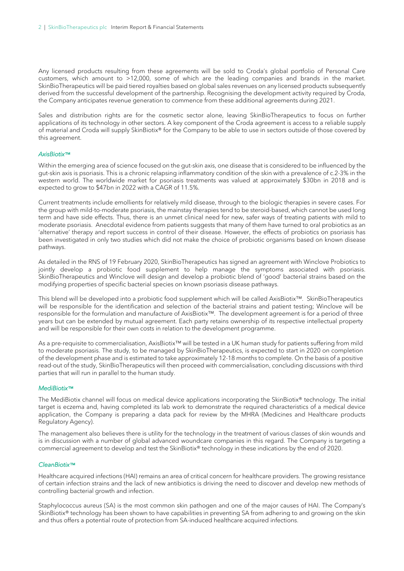Any licensed products resulting from these agreements will be sold to Croda's global portfolio of Personal Care customers, which amount to >12,000, some of which are the leading companies and brands in the market. SkinBioTherapeutics will be paid tiered royalties based on global sales revenues on any licensed products subsequently derived from the successful development of the partnership. Recognising the development activity required by Croda, the Company anticipates revenue generation to commence from these additional agreements during 2021.

Sales and distribution rights are for the cosmetic sector alone, leaving SkinBioTherapeutics to focus on further applications of its technology in other sectors. A key component of the Croda agreement is access to a reliable supply of material and Croda will supply SkinBiotix® for the Company to be able to use in sectors outside of those covered by this agreement.

#### *AxisBiotix™*

Within the emerging area of science focused on the gut-skin axis, one disease that is considered to be influenced by the gut-skin axis is psoriasis. This is a chronic relapsing inflammatory condition of the skin with a prevalence of c.2-3% in the western world. The worldwide market for psoriasis treatments was valued at approximately \$30bn in 2018 and is expected to grow to \$47bn in 2022 with a CAGR of 11.5%.

Current treatments include emollients for relatively mild disease, through to the biologic therapies in severe cases. For the group with mild-to-moderate psoriasis, the mainstay therapies tend to be steroid-based, which cannot be used long term and have side effects. Thus, there is an unmet clinical need for new, safer ways of treating patients with mild to moderate psoriasis. Anecdotal evidence from patients suggests that many of them have turned to oral probiotics as an 'alternative' therapy and report success in control of their disease. However, the effects of probiotics on psoriasis has been investigated in only two studies which did not make the choice of probiotic organisms based on known disease pathways.

As detailed in the RNS of 19 February 2020, SkinBioTherapeutics has signed an agreement with Winclove Probiotics to jointly develop a probiotic food supplement to help manage the symptoms associated with psoriasis. SkinBioTherapeutics and Winclove will design and develop a probiotic blend of 'good' bacterial strains based on the modifying properties of specific bacterial species on known psoriasis disease pathways.

This blend will be developed into a probiotic food supplement which will be called AxisBiotix™. SkinBioTherapeutics will be responsible for the identification and selection of the bacterial strains and patient testing; Winclove will be responsible for the formulation and manufacture of AxisBiotix™. The development agreement is for a period of three years but can be extended by mutual agreement. Each party retains ownership of its respective intellectual property and will be responsible for their own costs in relation to the development programme.

As a pre-requisite to commercialisation, AxisBiotix™ will be tested in a UK human study for patients suffering from mild to moderate psoriasis. The study, to be managed by SkinBioTherapeutics, is expected to start in 2020 on completion of the development phase and is estimated to take approximately 12-18 months to complete. On the basis of a positive read-out of the study, SkinBioTherapeutics will then proceed with commercialisation, concluding discussions with third parties that will run in parallel to the human study.

#### *MediBiotix™*

The MediBiotix channel will focus on medical device applications incorporating the SkinBiotix® technology. The initial target is eczema and, having completed its lab work to demonstrate the required characteristics of a medical device application, the Company is preparing a data pack for review by the MHRA (Medicines and Healthcare products Regulatory Agency).

The management also believes there is utility for the technology in the treatment of various classes of skin wounds and is in discussion with a number of global advanced woundcare companies in this regard. The Company is targeting a commercial agreement to develop and test the SkinBiotix® technology in these indications by the end of 2020.

#### *CleanBiotix™*

Healthcare acquired infections (HAI) remains an area of critical concern for healthcare providers. The growing resistance of certain infection strains and the lack of new antibiotics is driving the need to discover and develop new methods of controlling bacterial growth and infection.

Staphylococcus aureus (SA) is the most common skin pathogen and one of the major causes of HAI. The Company's SkinBiotix® technology has been shown to have capabilities in preventing SA from adhering to and growing on the skin and thus offers a potential route of protection from SA-induced healthcare acquired infections.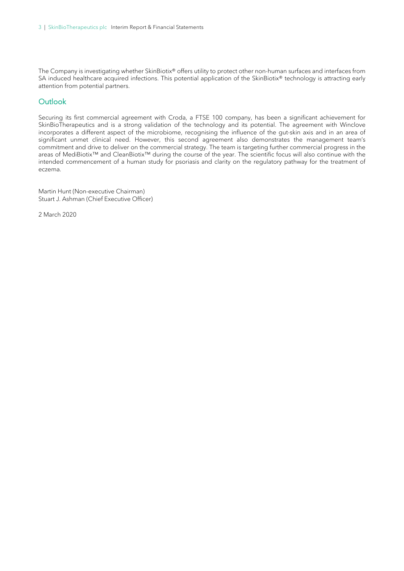The Company is investigating whether SkinBiotix® offers utility to protect other non-human surfaces and interfaces from SA induced healthcare acquired infections. This potential application of the SkinBiotix® technology is attracting early attention from potential partners.

### **Outlook**

Securing its first commercial agreement with Croda, a FTSE 100 company, has been a significant achievement for SkinBioTherapeutics and is a strong validation of the technology and its potential. The agreement with Winclove incorporates a different aspect of the microbiome, recognising the influence of the gut-skin axis and in an area of significant unmet clinical need. However, this second agreement also demonstrates the management team's commitment and drive to deliver on the commercial strategy. The team is targeting further commercial progress in the areas of MediBiotix™ and CleanBiotix™ during the course of the year. The scientific focus will also continue with the intended commencement of a human study for psoriasis and clarity on the regulatory pathway for the treatment of eczema.

Martin Hunt (Non-executive Chairman) Stuart J. Ashman (Chief Executive Officer)

2 March 2020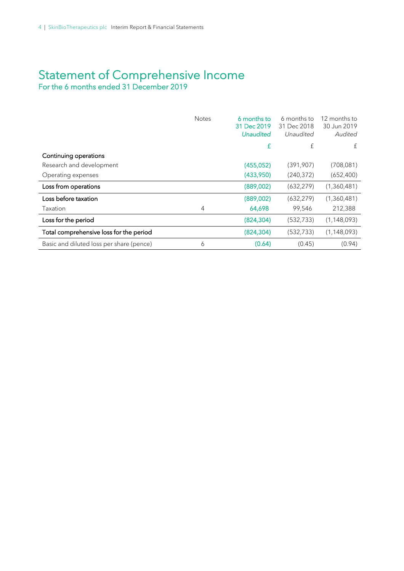# Statement of Comprehensive Income For the 6 months ended 31 December 2019

|                                          | <b>Notes</b> | 6 months to<br>31 Dec 2019<br><b>Unaudited</b> | 6 months to<br>31 Dec 2018<br>Unaudited | 12 months to<br>30 Jun 2019<br>Audited |
|------------------------------------------|--------------|------------------------------------------------|-----------------------------------------|----------------------------------------|
|                                          |              | £                                              | £                                       | £                                      |
| Continuing operations                    |              |                                                |                                         |                                        |
| Research and development                 |              | (455,052)                                      | (391,907)                               | (708,081)                              |
| Operating expenses                       |              | (433,950)                                      | (240, 372)                              | (652, 400)                             |
| Loss from operations                     |              | (889,002)                                      | (632, 279)                              | (1,360,481)                            |
| Loss before taxation                     |              | (889,002)                                      | (632, 279)                              | (1,360,481)                            |
| <b>Taxation</b>                          | 4            | 64,698                                         | 99,546                                  | 212,388                                |
| Loss for the period                      |              | (824, 304)                                     | (532, 733)                              | (1, 148, 093)                          |
| Total comprehensive loss for the period  |              | (824, 304)                                     | (532, 733)                              | (1, 148, 093)                          |
| Basic and diluted loss per share (pence) | 6            | (0.64)                                         | (0.45)                                  | (0.94)                                 |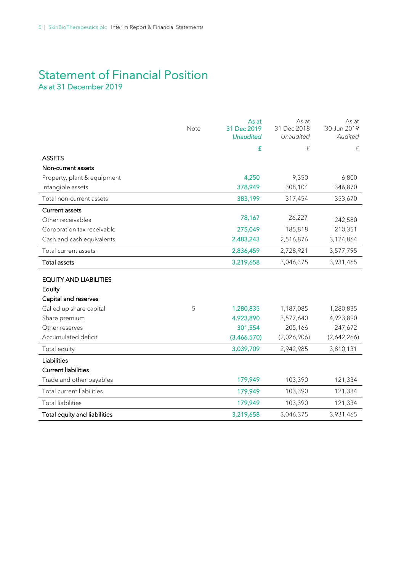# Statement of Financial Position<br>As at 31 December 2019

|                               | Note | As at<br>31 Dec 2019 | As at<br>31 Dec 2018 | As at<br>30 Jun 2019 |
|-------------------------------|------|----------------------|----------------------|----------------------|
|                               |      | <b>Unaudited</b>     | Unaudited            | Audited              |
|                               |      | £                    | £                    | £                    |
| <b>ASSETS</b>                 |      |                      |                      |                      |
| Non-current assets            |      |                      |                      |                      |
| Property, plant & equipment   |      | 4,250                | 9,350                | 6,800                |
| Intangible assets             |      | 378,949              | 308,104              | 346,870              |
| Total non-current assets      |      | 383,199              | 317,454              | 353,670              |
| <b>Current assets</b>         |      |                      |                      |                      |
| Other receivables             |      | 78,167               | 26,227               | 242,580              |
| Corporation tax receivable    |      | 275,049              | 185,818              | 210,351              |
| Cash and cash equivalents     |      | 2,483,243            | 2,516,876            | 3,124,864            |
| Total current assets          |      | 2,836,459            | 2,728,921            | 3,577,795            |
| <b>Total assets</b>           |      | 3,219,658            | 3,046,375            | 3,931,465            |
| <b>EQUITY AND LIABILITIES</b> |      |                      |                      |                      |
| Equity                        |      |                      |                      |                      |
| Capital and reserves          |      |                      |                      |                      |
| Called up share capital       | 5    | 1,280,835            | 1,187,085            | 1,280,835            |
| Share premium                 |      | 4,923,890            | 3,577,640            | 4,923,890            |
| Other reserves                |      | 301,554              | 205,166              | 247,672              |
| Accumulated deficit           |      | (3,466,570)          | (2,026,906)          | (2,642,266)          |
| Total equity                  |      | 3,039,709            | 2,942,985            | 3,810,131            |
| Liabilities                   |      |                      |                      |                      |
| <b>Current liabilities</b>    |      |                      |                      |                      |
| Trade and other payables      |      | 179,949              | 103,390              | 121,334              |
| Total current liabilities     |      | 179,949              | 103,390              | 121,334              |
| <b>Total liabilities</b>      |      | 179,949              | 103,390              | 121,334              |
| Total equity and liabilities  |      | 3,219,658            | 3,046,375            | 3,931,465            |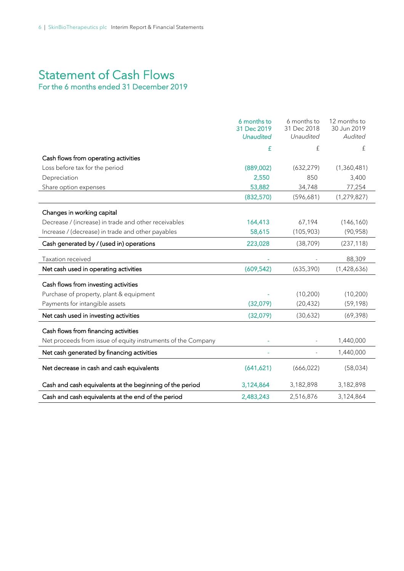# Statement of Cash Flows<br>For the 6 months ended 31 December 2019

# 6 months to 31 Dec 2019 6 months to 31 Dec 2018 12 months to 30 Jun 2019 *Unaudited Unaudited Audited* £ £ £ Cash flows from operating activities Loss before tax for the period (889,002) (632,279) (1,360,481) Depreciation 2,550 850 3,400 Share option expenses 63,882 34,748 77,254  $(832,570)$   $(596,681)$   $(1,279,827)$ Changes in working capital Decrease / (increase) in trade and other receivables 164,413 67,194 (146,160) Increase / (decrease) in trade and other payables 58,615 (105,903) (90,958) Cash generated by / (used in) operations 223,028 (38,709) (237,118) Taxation received and the state of the state of the state of the state of the state of the state of the state of the state of the state of the state of the state of the state of the state of the state of the state of the s Net cash used in operating activities (609,542) (635,390) (1,428,636) Cash flows from investing activities Purchase of property, plant & equipment (10,200) (10,200) (10,200) Payments for intangible assets (32,079) (20,432) (59,198) Net cash used in investing activities (32,079) (30,632) (69,398) Cash flows from financing activities Net proceeds from issue of equity instruments of the Company Theorem Company Fig. 2000. Net cash generated by financing activities and the state of the state of the state of 1,440,000 Net cash generated by financing activities Net decrease in cash and cash equivalents (641,621) (666,022) (58,034) Cash and cash equivalents at the beginning of the period  $3,124,864$   $3,182,898$   $3,182,898$ Cash and cash equivalents at the end of the period 2,483,243 2,516,876 3,124,864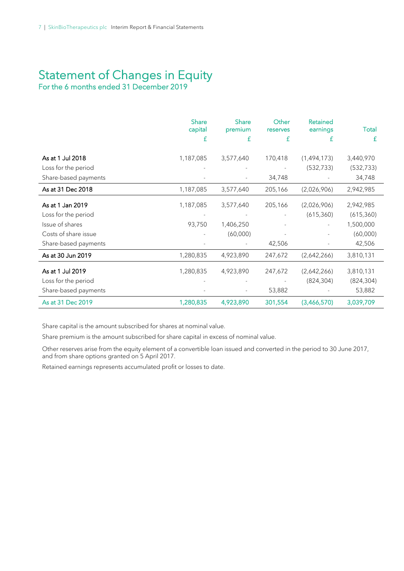# Statement of Changes in Equity<br>For the 6 months ended 31 December 2019

|                      | <b>Share</b><br>capital<br>£ | Share<br>premium<br>£ | Other<br>reserves<br>£ | <b>Retained</b><br>earnings<br>£ | Total<br>£ |
|----------------------|------------------------------|-----------------------|------------------------|----------------------------------|------------|
| As at 1 Jul 2018     | 1,187,085                    | 3,577,640             | 170,418                | (1,494,173)                      | 3,440,970  |
| Loss for the period  |                              |                       |                        | (532, 733)                       | (532, 733) |
| Share-based payments |                              |                       | 34,748                 |                                  | 34,748     |
| As at 31 Dec 2018    | 1,187,085                    | 3,577,640             | 205,166                | (2,026,906)                      | 2,942,985  |
| As at 1 Jan 2019     | 1,187,085                    | 3,577,640             | 205,166                | (2,026,906)                      | 2,942,985  |
| Loss for the period  |                              |                       |                        | (615, 360)                       | (615, 360) |
| Issue of shares      | 93,750                       | 1,406,250             |                        |                                  | 1,500,000  |
| Costs of share issue |                              | (60,000)              |                        |                                  | (60,000)   |
| Share-based payments |                              |                       | 42,506                 |                                  | 42,506     |
| As at 30 Jun 2019    | 1,280,835                    | 4,923,890             | 247,672                | (2,642,266)                      | 3,810,131  |
| As at 1 Jul 2019     | 1,280,835                    | 4,923,890             | 247,672                | (2,642,266)                      | 3,810,131  |
| Loss for the period  |                              |                       |                        | (824, 304)                       | (824, 304) |
| Share-based payments |                              |                       | 53,882                 |                                  | 53,882     |
| As at 31 Dec 2019    | 1,280,835                    | 4,923,890             | 301,554                | (3,466,570)                      | 3,039,709  |

Share capital is the amount subscribed for shares at nominal value.

Share premium is the amount subscribed for share capital in excess of nominal value.

Other reserves arise from the equity element of a convertible loan issued and converted in the period to 30 June 2017, and from share options granted on 5 April 2017.

Retained earnings represents accumulated profit or losses to date.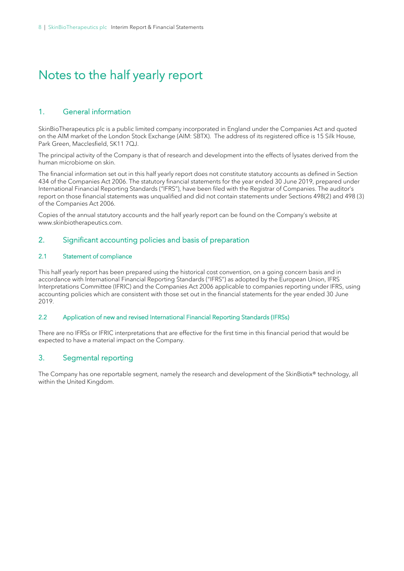# Notes to the half yearly report

# 1. General information

SkinBioTherapeutics plc is a public limited company incorporated in England under the Companies Act and quoted on the AIM market of the London Stock Exchange (AIM: SBTX). The address of its registered office is 15 Silk House, Park Green, Macclesfield, SK11 7QJ.

The principal activity of the Company is that of research and development into the effects of lysates derived from the human microbiome on skin.

The financial information set out in this half yearly report does not constitute statutory accounts as defined in Section 434 of the Companies Act 2006. The statutory financial statements for the year ended 30 June 2019, prepared under International Financial Reporting Standards ("IFRS"), have been filed with the Registrar of Companies. The auditor's report on those financial statements was unqualified and did not contain statements under Sections 498(2) and 498 (3) of the Companies Act 2006.

Copies of the annual statutory accounts and the half yearly report can be found on the Company's website at www.skinbiotherapeutics.com.

## 2. Significant accounting policies and basis of preparation

### 2.1 Statement of compliance

This half yearly report has been prepared using the historical cost convention, on a going concern basis and in accordance with International Financial Reporting Standards ("IFRS") as adopted by the European Union, IFRS Interpretations Committee (IFRIC) and the Companies Act 2006 applicable to companies reporting under IFRS, using accounting policies which are consistent with those set out in the financial statements for the year ended 30 June 2019.

### 2.2 Application of new and revised International Financial Reporting Standards (IFRSs)

There are no IFRSs or IFRIC interpretations that are effective for the first time in this financial period that would be expected to have a material impact on the Company.

## 3. Segmental reporting

The Company has one reportable segment, namely the research and development of the SkinBiotix® technology, all within the United Kingdom.